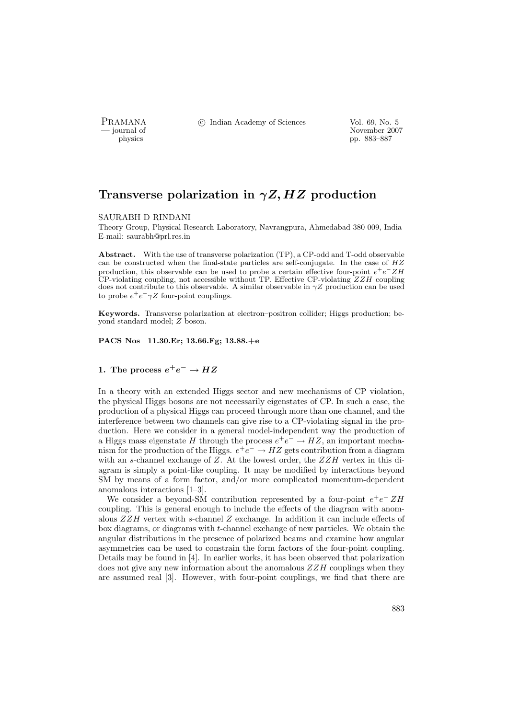PRAMANA <sup>C</sup> Indian Academy of Sciences Vol. 69, No. 5<br>
— journal of

provember 2007<br>
provember 2007<br>
provember 2007<br>
provember 2007<br>
provember 2007<br>
provember 2007<br>
provember 2007<br>
provember 2007 pp. 883–887

# Transverse polarization in  $\gamma Z, HZ$  production

#### SAURABH D RINDANI

Theory Group, Physical Research Laboratory, Navrangpura, Ahmedabad 380 009, India E-mail: saurabh@prl.res.in

Abstract. With the use of transverse polarization (TP), a CP-odd and T-odd observable can be constructed when the final-state particles are self-conjugate. In the case of  $HZ$ production, this observable can be used to probe a certain effective four-point  $e^+e^- ZH$ CP-violating coupling, not accessible without TP. Effective CP-violating  $ZZH$  coupling does not contribute to this observable. A similar observable in  $\gamma Z$  production can be used to probe  $e^+e^-\gamma Z$  four-point couplings.

Keywords. Transverse polarization at electron–positron collider; Higgs production; beyond standard model; Z boson.

PACS Nos 11.30.Er; 13.66.Fg; 13.88.+e

# 1. The process  $e^+e^- \rightarrow HZ$

In a theory with an extended Higgs sector and new mechanisms of CP violation, the physical Higgs bosons are not necessarily eigenstates of CP. In such a case, the production of a physical Higgs can proceed through more than one channel, and the interference between two channels can give rise to a CP-violating signal in the production. Here we consider in a general model-independent way the production of a Higgs mass eigenstate H through the process  $e^+e^- \to HZ$ , an important mechanism for the production of the Higgs.  $e^+e^- \to HZ$  gets contribution from a diagram with an s-channel exchange of  $Z$ . At the lowest order, the  $ZZH$  vertex in this diagram is simply a point-like coupling. It may be modified by interactions beyond SM by means of a form factor, and/or more complicated momentum-dependent anomalous interactions [1–3].

We consider a beyond-SM contribution represented by a four-point  $e^+e^- ZH$ coupling. This is general enough to include the effects of the diagram with anomalous  $ZZH$  vertex with s-channel Z exchange. In addition it can include effects of box diagrams, or diagrams with t-channel exchange of new particles. We obtain the angular distributions in the presence of polarized beams and examine how angular asymmetries can be used to constrain the form factors of the four-point coupling. Details may be found in [4]. In earlier works, it has been observed that polarization does not give any new information about the anomalous  $ZZH$  couplings when they are assumed real [3]. However, with four-point couplings, we find that there are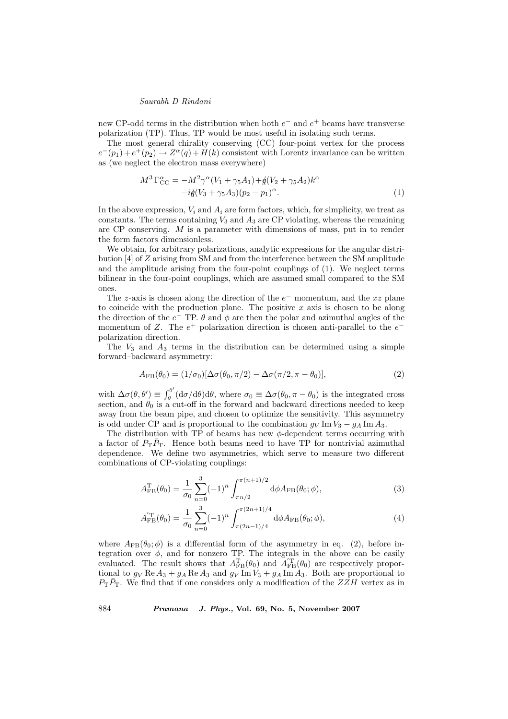## Saurabh D Rindani

new CP-odd terms in the distribution when both  $e^-$  and  $e^+$  beams have transverse polarization (TP). Thus, TP would be most useful in isolating such terms.

The most general chirality conserving (CC) four-point vertex for the process  $e^-(p_1)+e^+(p_2) \to Z^{\alpha}(q)+H(k)$  consistent with Lorentz invariance can be written as (we neglect the electron mass everywhere)

$$
M^{3} \Gamma_{\text{CC}}^{\alpha} = -M^{2} \gamma^{\alpha} (V_{1} + \gamma_{5} A_{1}) + \frac{d}{d} (V_{2} + \gamma_{5} A_{2}) k^{\alpha} - i \frac{d}{d} (V_{3} + \gamma_{5} A_{3}) (p_{2} - p_{1})^{\alpha}.
$$
 (1)

In the above expression,  $V_i$  and  $A_i$  are form factors, which, for simplicity, we treat as constants. The terms containing  $V_3$  and  $A_3$  are CP violating, whereas the remaining are CP conserving. M is a parameter with dimensions of mass, put in to render the form factors dimensionless.

We obtain, for arbitrary polarizations, analytic expressions for the angular distribution [4] of Z arising from SM and from the interference between the SM amplitude and the amplitude arising from the four-point couplings of (1). We neglect terms bilinear in the four-point couplings, which are assumed small compared to the SM ones.

The z-axis is chosen along the direction of the  $e^-$  momentum, and the xz plane to coincide with the production plane. The positive  $x$  axis is chosen to be along the direction of the  $e^-$  TP.  $\theta$  and  $\phi$  are then the polar and azimuthal angles of the momentum of Z. The  $e^+$  polarization direction is chosen anti-parallel to the  $e^$ polarization direction.

The  $V_3$  and  $A_3$  terms in the distribution can be determined using a simple forward–backward asymmetry:

$$
A_{\rm FB}(\theta_0) = (1/\sigma_0)[\Delta\sigma(\theta_0, \pi/2) - \Delta\sigma(\pi/2, \pi - \theta_0)],\tag{2}
$$

with  $\Delta \sigma(\theta, \theta') \equiv \int_{a}^{\theta'}$  $\theta_{\theta}^{\sigma}$  (d $\sigma/d\theta$ )d $\theta$ , where  $\sigma_0 \equiv \Delta \sigma(\theta_0, \pi - \theta_0)$  is the integrated cross section, and  $\theta_0$  is a cut-off in the forward and backward directions needed to keep away from the beam pipe, and chosen to optimize the sensitivity. This asymmetry is odd under CP and is proportional to the combination  $g_V \text{Im } V_3 - g_A \text{Im } A_3$ .

The distribution with TP of beams has new  $\phi$ -dependent terms occurring with a factor of  $P_{\rm T} \bar{P}_{\rm T}$ . Hence both beams need to have TP for nontrivial azimuthal dependence. We define two asymmetries, which serve to measure two different combinations of CP-violating couplings:

$$
A_{\rm FB}^{\rm T}(\theta_0) = \frac{1}{\sigma_0} \sum_{n=0}^3 (-1)^n \int_{\pi n/2}^{\pi(n+1)/2} d\phi A_{\rm FB}(\theta_0; \phi), \tag{3}
$$

$$
A'_{\rm FB}(\theta_0) = \frac{1}{\sigma_0} \sum_{n=0}^3 (-1)^n \int_{\pi(2n-1)/4}^{\pi(2n+1)/4} d\phi A_{\rm FB}(\theta_0; \phi), \tag{4}
$$

where  $A_{FB}(\theta_0;\phi)$  is a differential form of the asymmetry in eq. (2), before integration over  $\phi$ , and for nonzero TP. The integrals in the above can be easily evaluated. The result shows that  $A_{\text{FB}}^{\text{T}}(\theta_0)$  and  $A_{\text{FB}}^{'\text{T}}(\theta_0)$  are respectively proportional to  $g_V \text{Re } A_3 + g_A \text{Re } A_3$  and  $g_V \text{Im } V_3 + g_A \text{Im } A_3$ . Both are proportional to  $P_{\rm T}\bar{P}_{\rm T}$ . We find that if one considers only a modification of the  $ZZH$  vertex as in

884 Pramana – J. Phys., Vol. 69, No. 5, November 2007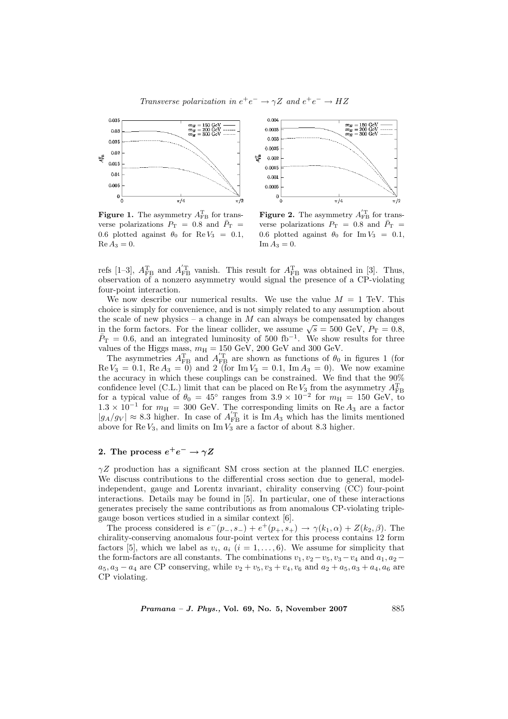Transverse polarization in  $e^+e^- \rightarrow \gamma Z$  and  $e^+e^- \rightarrow HZ$ 



**Figure 1.** The asymmetry  $A_{\text{FB}}^{\text{T}}$  for transverse polarizations  $P_T = 0.8$  and  $\bar{P}_T =$ 0.6 plotted against  $\theta_0$  for Re  $V_3 = 0.1$ ,  $\text{Re }A_3=0.$ 



**Figure 2.** The asymmetry  $A_{\text{FB}}^{'\text{T}}$  for transverse polarizations  $P_T = 0.8$  and  $\bar{P}_T =$ 0.6 plotted against  $\theta_0$  for Im  $V_3 = 0.1$ ,  $\text{Im}\,A_3=0.$ 

refs [1-3],  $A_{\text{FB}}^{\text{T}}$  and  $A_{\text{FB}}^{'\text{T}}$  vanish. This result for  $A_{\text{FB}}^{\text{T}}$  was obtained in [3]. Thus, observation of a nonzero asymmetry would signal the presence of a CP-violating four-point interaction.

We now describe our numerical results. We use the value  $M = 1$  TeV. This choice is simply for convenience, and is not simply related to any assumption about the scale of new physics – a change in  $M$  can always be compensated by changes the scale of new physics – a change in *M* can always be compensated by changes<br>in the form factors. For the linear collider, we assume  $\sqrt{s} = 500$  GeV,  $P_T = 0.8$ ,  $\bar{P}_{\rm T} = 0.6$ , and an integrated luminosity of 500 fb<sup>-1</sup>. We show results for three values of the Higgs mass,  $m_H = 150 \text{ GeV}$ , 200 GeV and 300 GeV.

The asymmetries  $A_{\text{FB}}^{\text{T}}$  and  $A_{\text{FB}}^{'\text{T}}$  are shown as functions of  $\theta_0$  in figures 1 (for  $\text{Re } V_3 = 0.1, \text{ Re } A_3 = 0$  and 2 (for  $\text{Im } V_3 = 0.1, \text{ Im } A_3 = 0$ ). We now examine the accuracy in which these couplings can be constrained. We find that the 90% confidence level (C.L.) limit that can be placed on Re  $V_3$  from the asymmetry  $A_{\text{FB}}^{\text{T}}$  for a typical value of  $\theta_0 = 45^{\circ}$  ranges from  $3.9 \times 10^{-2}$  for  $m_{\text{H}} = 150$  GeV, to  $1.3 \times 10^{-1}$  for  $m_{\text{H}} = 300$  GeV. The corresponding limits on Re  $A_3$  are a factor  $|g_A/g_V| \approx 8.3$  higher. In case of  $A_{\text{FB}}^{'\text{T}}$  it is  $\text{Im} A_3$  which has the limits mentioned above for Re  $V_3$ , and limits on Im  $V_3$  are a factor of about 8.3 higher.

# 2. The process  $e^+e^-\rightarrow \gamma Z$

 $\gamma Z$  production has a significant SM cross section at the planned ILC energies. We discuss contributions to the differential cross section due to general, modelindependent, gauge and Lorentz invariant, chirality conserving (CC) four-point interactions. Details may be found in [5]. In particular, one of these interactions generates precisely the same contributions as from anomalous CP-violating triplegauge boson vertices studied in a similar context [6].

The process considered is  $e^-(p_-, s_-) + e^+(p_+, s_+) \to \gamma(k_1, \alpha) + Z(k_2, \beta)$ . The chirality-conserving anomalous four-point vertex for this process contains 12 form factors [5], which we label as  $v_i$ ,  $a_i$  ( $i = 1, \ldots, 6$ ). We assume for simplicity that the form-factors are all constants. The combinations  $v_1, v_2 - v_5, v_3 - v_4$  and  $a_1, a_2$  $a_5, a_3 - a_4$  are CP conserving, while  $v_2 + v_5, v_3 + v_4, v_6$  and  $a_2 + a_5, a_3 + a_4, a_6$  are CP violating.

 $Pramana - J. Phys., Vol. 69, No. 5, November 2007$  885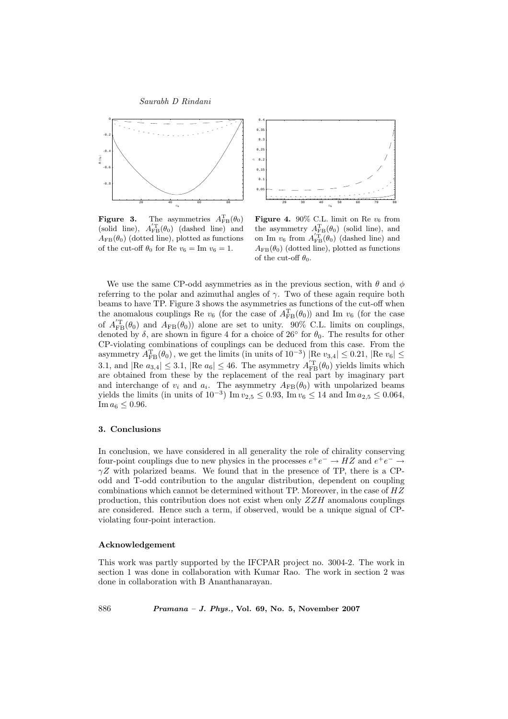



**Figure 3.** The asymmetries  $A_{\text{FB}}^{\text{T}}(\theta_0)$ (solid line),  $A_{\text{FB}}^{'\text{T}}(\theta_0)$  (dashed line) and  $A_{\text{FB}}(\theta_0)$  (dotted line), plotted as functions of the cut-off  $\theta_0$  for Re  $v_6 = \text{Im } v_6 = 1$ .

Figure 4. 90% C.L. limit on Re  $v_6$  from the asymmetry  $A_{\text{FB}}^{T}(\theta_0)$  (solid line), and on Im  $v_6$  from  $A_{\text{FB}}^{'\text{T}}(\theta_0)$  (dashed line) and  $A_{\text{FB}}(\theta_0)$  (dotted line), plotted as functions of the cut-off  $\theta_0$ .

We use the same CP-odd asymmetries as in the previous section, with  $\theta$  and  $\phi$ referring to the polar and azimuthal angles of  $\gamma$ . Two of these again require both beams to have TP. Figure 3 shows the asymmetries as functions of the cut-off when the anomalous couplings Re  $v_6$  (for the case of  $A_{FB}^{T}(\theta_0)$ ) and Im  $v_6$  (for the case of  $A_{\text{FB}}^{T}(\theta_0)$  and  $A_{\text{FB}}(\theta_0)$  alone are set to unity. 90% C.L. limits on couplings, denoted by  $\delta$ , are shown in figure 4 for a choice of 26 $\degree$  for  $\theta_0$ . The results for other CP-violating combinations of couplings can be deduced from this case. From the asymmetry  $A_{\text{FB}}^{\text{T}}(\theta_0)$ , we get the limits (in units of  $10^{-3}$ ) |Re  $v_{3,4}$ | ≤ 0.21, |Re  $v_6$ | ≤ 3.1, and  $|\text{Re } a_{3,4}| \leq 3.1$ ,  $|\text{Re } a_6| \leq 46$ . The asymmetry  $A_{FB}^{T}(\theta_0)$  yields limits which are obtained from these by the replacement of the real part by imaginary part and interchange of  $v_i$  and  $a_i$ . The asymmetry  $A_{FB}(\theta_0)$  with unpolarized beams yields the limits (in units of  $10^{-3}$ ) Im  $v_{2,5} \le 0.93$ , Im  $v_6 \le 14$  and Im  $a_{2,5} \le 0.064$ ,  $\text{Im}\,a_6 \leq 0.96.$ 

### 3. Conclusions

In conclusion, we have considered in all generality the role of chirality conserving four-point couplings due to new physics in the processes  $e^+e^- \to HZ$  and  $e^+e^- \to$  $\gamma Z$  with polarized beams. We found that in the presence of TP, there is a CPodd and T-odd contribution to the angular distribution, dependent on coupling combinations which cannot be determined without TP. Moreover, in the case of HZ production, this contribution does not exist when only  $ZZH$  anomalous couplings are considered. Hence such a term, if observed, would be a unique signal of CPviolating four-point interaction.

#### Acknowledgement

This work was partly supported by the IFCPAR project no. 3004-2. The work in section 1 was done in collaboration with Kumar Rao. The work in section 2 was done in collaboration with B Ananthanarayan.

886 Pramana – J. Phys., Vol. 69, No. 5, November 2007